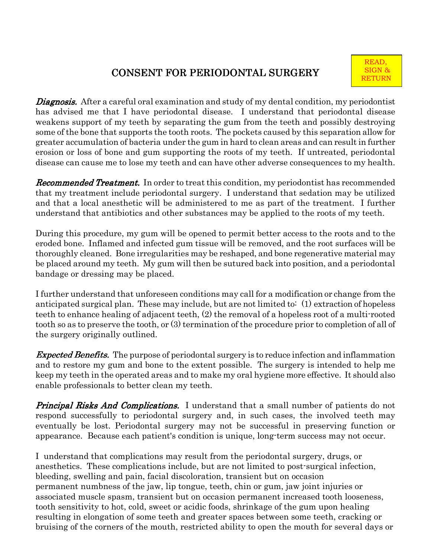## CONSENT FOR PERIODONTAL SURGERY

**Diagnosis.** After a careful oral examination and study of my dental condition, my periodontist has advised me that I have periodontal disease. I understand that periodontal disease weakens support of my teeth by separating the gum from the teeth and possibly destroying some of the bone that supports the tooth roots. The pockets caused by this separation allow for greater accumulation of bacteria under the gum in hard to clean areas and can result in further erosion or loss of bone and gum supporting the roots of my teeth. If untreated, periodontal disease can cause me to lose my teeth and can have other adverse consequences to my health.

**Recommended Treatment.** In order to treat this condition, my periodontist has recommended that my treatment include periodontal surgery. I understand that sedation may be utilized and that a local anesthetic will be administered to me as part of the treatment. I further understand that antibiotics and other substances may be applied to the roots of my teeth.

During this procedure, my gum will be opened to permit better access to the roots and to the eroded bone. Inflamed and infected gum tissue will be removed, and the root surfaces will be thoroughly cleaned. Bone irregularities may be reshaped, and bone regenerative material may be placed around my teeth. My gum will then be sutured back into position, and a periodontal bandage or dressing may be placed.

I further understand that unforeseen conditions may call for a modification or change from the anticipated surgical plan. These may include, but are not limited to: (1) extraction of hopeless teeth to enhance healing of adjacent teeth, (2) the removal of a hopeless root of a multi-rooted tooth so as to preserve the tooth, or (3) termination of the procedure prior to completion of all of the surgery originally outlined.

**Expected Benefits.** The purpose of periodontal surgery is to reduce infection and inflammation and to restore my gum and bone to the extent possible. The surgery is intended to help me keep my teeth in the operated areas and to make my oral hygiene more effective. It should also enable professionals to better clean my teeth.

**Principal Risks And Complications.** I understand that a small number of patients do not respond successfully to periodontal surgery and, in such cases, the involved teeth may eventually be lost. Periodontal surgery may not be successful in preserving function or appearance. Because each patient's condition is unique, long-term success may not occur.

I understand that complications may result from the periodontal surgery, drugs, or anesthetics. These complications include, but are not limited to post-surgical infection, bleeding, swelling and pain, facial discoloration, transient but on occasion permanent numbness of the jaw, lip tongue, teeth, chin or gum, jaw joint injuries or associated muscle spasm, transient but on occasion permanent increased tooth looseness, tooth sensitivity to hot, cold, sweet or acidic foods, shrinkage of the gum upon healing resulting in elongation of some teeth and greater spaces between some teeth, cracking or bruising of the corners of the mouth, restricted ability to open the mouth for several days or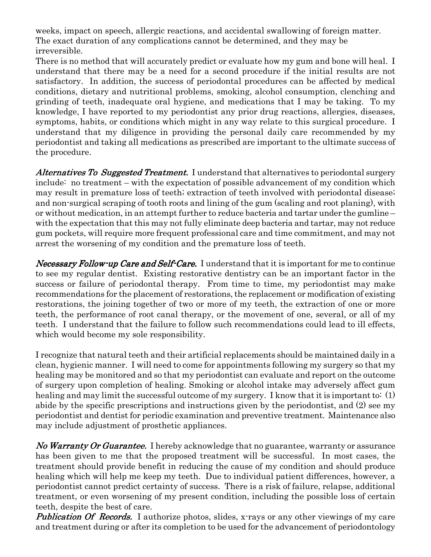weeks, impact on speech, allergic reactions, and accidental swallowing of foreign matter. The exact duration of any complications cannot be determined, and they may be irreversible.

There is no method that will accurately predict or evaluate how my gum and bone will heal. I understand that there may be a need for a second procedure if the initial results are not satisfactory. In addition, the success of periodontal procedures can be affected by medical conditions, dietary and nutritional problems, smoking, alcohol consumption, clenching and grinding of teeth, inadequate oral hygiene, and medications that I may be taking. To my knowledge, I have reported to my periodontist any prior drug reactions, allergies, diseases, symptoms, habits, or conditions which might in any way relate to this surgical procedure. I understand that my diligence in providing the personal daily care recommended by my periodontist and taking all medications as prescribed are important to the ultimate success of the procedure.

Alternatives To Suggested Treatment. I understand that alternatives to periodontal surgery include: no treatment – with the expectation of possible advancement of my condition which may result in premature loss of teeth; extraction of teeth involved with periodontal disease; and non-surgical scraping of tooth roots and lining of the gum (scaling and root planing), with or without medication, in an attempt further to reduce bacteria and tartar under the gumline – with the expectation that this may not fully eliminate deep bacteria and tartar, may not reduce gum pockets, will require more frequent professional care and time commitment, and may not arrest the worsening of my condition and the premature loss of teeth.

Necessary Follow-up Care and Self-Care. I understand that it is important for me to continue to see my regular dentist. Existing restorative dentistry can be an important factor in the success or failure of periodontal therapy. From time to time, my periodontist may make recommendations for the placement of restorations, the replacement or modification of existing restorations, the joining together of two or more of my teeth, the extraction of one or more teeth, the performance of root canal therapy, or the movement of one, several, or all of my teeth. I understand that the failure to follow such recommendations could lead to ill effects, which would become my sole responsibility.

I recognize that natural teeth and their artificial replacements should be maintained daily in a clean, hygienic manner. I will need to come for appointments following my surgery so that my healing may be monitored and so that my periodontist can evaluate and report on the outcome of surgery upon completion of healing. Smoking or alcohol intake may adversely affect gum healing and may limit the successful outcome of my surgery. I know that it is important to: (1) abide by the specific prescriptions and instructions given by the periodontist, and (2) see my periodontist and dentist for periodic examination and preventive treatment. Maintenance also may include adjustment of prosthetic appliances.

No Warranty Or Guarantee. I hereby acknowledge that no guarantee, warranty or assurance has been given to me that the proposed treatment will be successful. In most cases, the treatment should provide benefit in reducing the cause of my condition and should produce healing which will help me keep my teeth. Due to individual patient differences, however, a periodontist cannot predict certainty of success. There is a risk of failure, relapse, additional treatment, or even worsening of my present condition, including the possible loss of certain teeth, despite the best of care.

**Publication Of Records.** I authorize photos, slides, x-rays or any other viewings of my care and treatment during or after its completion to be used for the advancement of periodontology